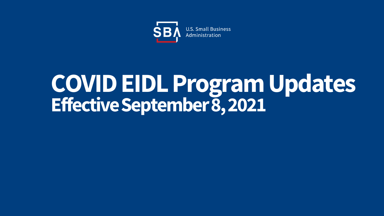

# **COVID EIDL Program Updates Effective September 8, 2021**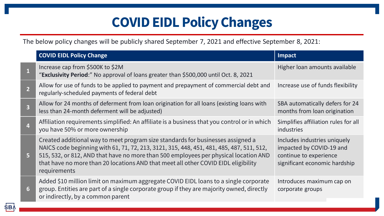# **COVID EIDL Policy Changes**

The below policy changes will be publicly shared September 7, 2021 and effective September 8, 2021:

|                | <b>COVID EIDL Policy Change</b>                                                                                                                                                                                                                                                                                                                                           | Impact                                                                                                              |
|----------------|---------------------------------------------------------------------------------------------------------------------------------------------------------------------------------------------------------------------------------------------------------------------------------------------------------------------------------------------------------------------------|---------------------------------------------------------------------------------------------------------------------|
|                | Increase cap from \$500K to \$2M<br>"Exclusivity Period:" No approval of loans greater than \$500,000 until Oct. 8, 2021                                                                                                                                                                                                                                                  | Higher loan amounts available                                                                                       |
| $\overline{2}$ | Allow for use of funds to be applied to payment and prepayment of commercial debt and<br>regularly-scheduled payments of federal debt                                                                                                                                                                                                                                     | Increase use of funds flexibility                                                                                   |
| $\overline{3}$ | Allow for 24 months of deferment from loan origination for all loans (existing loans with<br>less than 24-month deferment will be adjusted)                                                                                                                                                                                                                               | SBA automatically defers for 24<br>months from loan origination                                                     |
| $\overline{4}$ | Affiliation requirements simplified: An affiliate is a business that you control or in which<br>you have 50% or more ownership                                                                                                                                                                                                                                            | Simplifies affiliation rules for all<br>industries                                                                  |
| 5 <sup>1</sup> | Created additional way to meet program size standards for businesses assigned a<br>NAICS code beginning with 61, 71, 72, 213, 3121, 315, 448, 451, 481, 485, 487, 511, 512,<br>515, 532, or 812, AND that have no more than 500 employees per physical location AND<br>that have no more than 20 locations AND that meet all other COVID EIDL eligibility<br>requirements | Includes industries uniquely<br>impacted by COVID-19 and<br>continue to experience<br>significant economic hardship |
| 6              | Added \$10 million limit on maximum aggregate COVID EIDL loans to a single corporate<br>group. Entities are part of a single corporate group if they are majority owned, directly<br>or indirectly, by a common parent                                                                                                                                                    | Introduces maximum cap on<br>corporate groups                                                                       |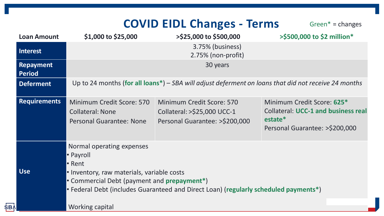### **COVID EIDL Changes - Terms** Green\* = changes

| <b>Loan Amount</b>                | \$1,000 to \$25,000                                                                                                                                                                                                                                                     | <b>&gt;\$25,000 to \$500,000</b>                                                           | >\$500,000 to \$2 million*                                                                                            |  |
|-----------------------------------|-------------------------------------------------------------------------------------------------------------------------------------------------------------------------------------------------------------------------------------------------------------------------|--------------------------------------------------------------------------------------------|-----------------------------------------------------------------------------------------------------------------------|--|
| <b>Interest</b>                   |                                                                                                                                                                                                                                                                         | 3.75% (business)<br>2.75% (non-profit)                                                     |                                                                                                                       |  |
| <b>Repayment</b><br><b>Period</b> | 30 years                                                                                                                                                                                                                                                                |                                                                                            |                                                                                                                       |  |
| <b>Deferment</b>                  | Up to 24 months (for all loans <sup>*</sup> ) – SBA will adjust deferment on loans that did not receive 24 months                                                                                                                                                       |                                                                                            |                                                                                                                       |  |
| <b>Requirements</b>               | Minimum Credit Score: 570<br><b>Collateral: None</b><br>Personal Guarantee: None                                                                                                                                                                                        | Minimum Credit Score: 570<br>Collateral: >\$25,000 UCC-1<br>Personal Guarantee: >\$200,000 | Minimum Credit Score: 625*<br><b>Collateral: UCC-1 and business real</b><br>estate*<br>Personal Guarantee: >\$200,000 |  |
| <b>Use</b>                        | Normal operating expenses<br>• Payroll<br>• Rent<br>• Inventory, raw materials, variable costs<br>• Commercial Debt (payment and <b>prepayment</b> *)<br>• Federal Debt (includes Guaranteed and Direct Loan) (regularly scheduled payments*)<br><b>Working capital</b> |                                                                                            |                                                                                                                       |  |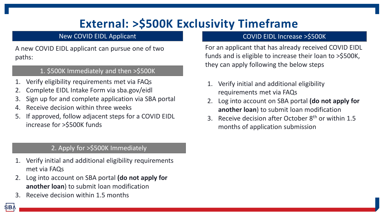## **External: >\$500K Exclusivity Timeframe**

#### New COVID EIDL Applicant

A new COVID EIDL applicant can pursue one of two paths:

#### 1. \$500K Immediately and then >\$500K

- Verify eligibility requirements met via FAQs
- 2. Complete EIDL Intake Form via sba.gov/eidl
- 3. Sign up for and complete application via SBA portal
- 4. Receive decision within three weeks
- 5. If approved, follow adjacent steps for a COVID EIDL increase for >\$500K funds

#### 2. Apply for >\$500K Immediately

- 1. Verify initial and additional eligibility requirements met via FAQs
- 2. Log into account on SBA portal **(do not apply for another loan**) to submit loan modification
- 3. Receive decision within 1.5 months

SB,

#### COVID EIDL Increase >\$500K

For an applicant that has already received COVID EIDL funds and is eligible to increase their loan to >\$500K, they can apply following the below steps

- 1. Verify initial and additional eligibility requirements met via FAQs
- 2. Log into account on SBA portal **(do not apply for another loan**) to submit loan modification
- 3. Receive decision after October  $8<sup>th</sup>$  or within 1.5 months of application submission